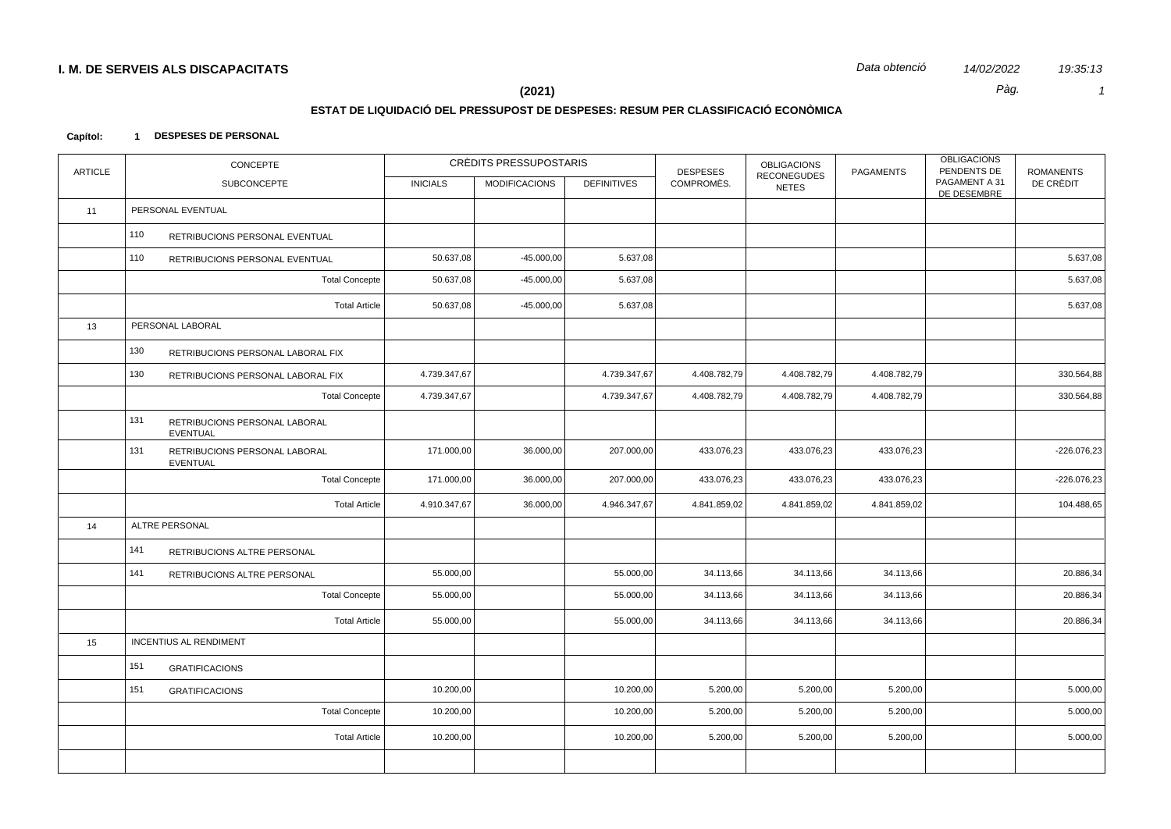Data obtenció 14/02/2022 19:35:13  $\overline{1}$ 

Pàg.

 $(2021)$ 

### ESTAT DE LIQUIDACIÓ DEL PRESSUPOST DE DESPESES: RESUM PER CLASSIFICACIÓ ECONÒMICA

#### Capítol: 1 DESPESES DE PERSONAL

| <b>ARTICLE</b> | <b>CONCEPTE</b>                                         |                 | <b>CRÈDITS PRESSUPOSTARIS</b> |                    | <b>DESPESES</b> | <b>OBLIGACIONS</b><br><b>RECONEGUDES</b> | <b>PAGAMENTS</b> | <b>OBLIGACIONS</b><br>PENDENTS DE | <b>ROMANENTS</b> |
|----------------|---------------------------------------------------------|-----------------|-------------------------------|--------------------|-----------------|------------------------------------------|------------------|-----------------------------------|------------------|
|                | SUBCONCEPTE                                             | <b>INICIALS</b> | <b>MODIFICACIONS</b>          | <b>DEFINITIVES</b> | COMPROMÈS.      | <b>NETES</b>                             |                  | PAGAMENT A 31<br>DE DESEMBRE      | DE CRÈDIT        |
| 11             | PERSONAL EVENTUAL                                       |                 |                               |                    |                 |                                          |                  |                                   |                  |
|                | 110<br>RETRIBUCIONS PERSONAL EVENTUAL                   |                 |                               |                    |                 |                                          |                  |                                   |                  |
|                | 110<br>RETRIBUCIONS PERSONAL EVENTUAL                   | 50.637,08       | $-45.000,00$                  | 5.637,08           |                 |                                          |                  |                                   | 5.637,08         |
|                | <b>Total Concepte</b>                                   | 50.637,08       | $-45.000,00$                  | 5.637,08           |                 |                                          |                  |                                   | 5.637,08         |
|                | <b>Total Article</b>                                    | 50.637,08       | $-45.000,00$                  | 5.637,08           |                 |                                          |                  |                                   | 5.637,08         |
| 13             | PERSONAL LABORAL                                        |                 |                               |                    |                 |                                          |                  |                                   |                  |
|                | 130<br>RETRIBUCIONS PERSONAL LABORAL FIX                |                 |                               |                    |                 |                                          |                  |                                   |                  |
|                | 130<br>RETRIBUCIONS PERSONAL LABORAL FIX                | 4.739.347,67    |                               | 4.739.347,67       | 4.408.782,79    | 4.408.782,79                             | 4.408.782,79     |                                   | 330.564,88       |
|                | <b>Total Concepte</b>                                   | 4.739.347,67    |                               | 4.739.347,67       | 4.408.782,79    | 4.408.782,79                             | 4.408.782,79     |                                   | 330.564,88       |
|                | 131<br>RETRIBUCIONS PERSONAL LABORAL<br>EVENTUAL        |                 |                               |                    |                 |                                          |                  |                                   |                  |
|                | 131<br>RETRIBUCIONS PERSONAL LABORAL<br><b>EVENTUAL</b> | 171.000,00      | 36.000,00                     | 207.000,00         | 433.076,23      | 433.076,23                               | 433.076,23       |                                   | $-226.076,23$    |
|                | <b>Total Concepte</b>                                   | 171.000,00      | 36.000,00                     | 207.000,00         | 433.076,23      | 433.076,23                               | 433.076,23       |                                   | $-226.076,23$    |
|                | <b>Total Article</b>                                    | 4.910.347,67    | 36.000,00                     | 4.946.347,67       | 4.841.859,02    | 4.841.859,02                             | 4.841.859,02     |                                   | 104.488,65       |
| 14             | ALTRE PERSONAL                                          |                 |                               |                    |                 |                                          |                  |                                   |                  |
|                | 141<br>RETRIBUCIONS ALTRE PERSONAL                      |                 |                               |                    |                 |                                          |                  |                                   |                  |
|                | 141<br>RETRIBUCIONS ALTRE PERSONAL                      | 55.000,00       |                               | 55.000,00          | 34.113,66       | 34.113,66                                | 34.113,66        |                                   | 20.886,34        |
|                | <b>Total Concepte</b>                                   | 55.000,00       |                               | 55.000,00          | 34.113,66       | 34.113,66                                | 34.113,66        |                                   | 20.886,34        |
|                | <b>Total Article</b>                                    | 55.000,00       |                               | 55.000,00          | 34.113,66       | 34.113,66                                | 34.113,66        |                                   | 20.886,34        |
| 15             | <b>INCENTIUS AL RENDIMENT</b>                           |                 |                               |                    |                 |                                          |                  |                                   |                  |
|                | 151<br><b>GRATIFICACIONS</b>                            |                 |                               |                    |                 |                                          |                  |                                   |                  |
|                | 151<br><b>GRATIFICACIONS</b>                            | 10.200,00       |                               | 10.200,00          | 5.200,00        | 5.200,00                                 | 5.200,00         |                                   | 5.000,00         |
|                | <b>Total Concepte</b>                                   | 10.200,00       |                               | 10.200,00          | 5.200,00        | 5.200,00                                 | 5.200,00         |                                   | 5.000,00         |
|                | <b>Total Article</b>                                    | 10.200,00       |                               | 10.200,00          | 5.200,00        | 5.200,00                                 | 5.200,00         |                                   | 5.000,00         |
|                |                                                         |                 |                               |                    |                 |                                          |                  |                                   |                  |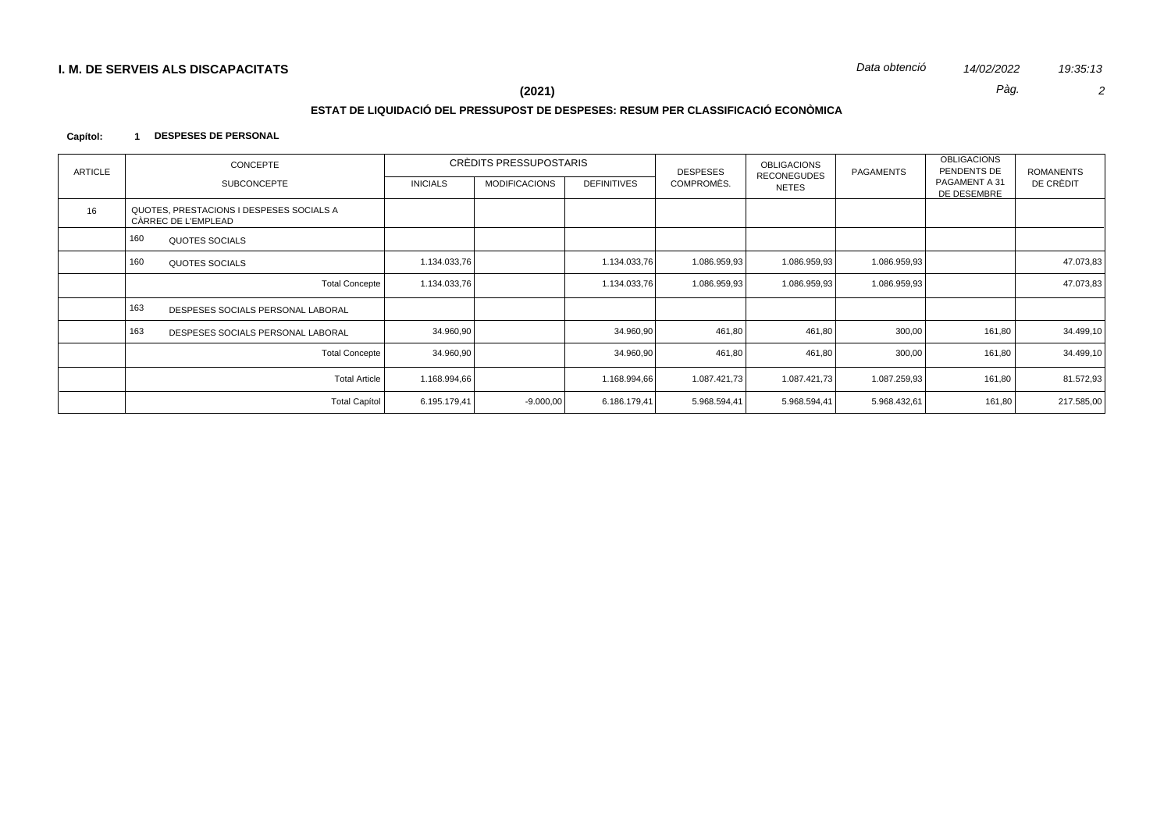Data obtenció 14/02/2022 19:35:13  $\overline{2}$ 

Pàg.

#### $(2021)$

# ESTAT DE LIQUIDACIÓ DEL PRESSUPOST DE DESPESES: RESUM PER CLASSIFICACIÓ ECONÒMICA

#### Capítol: 1 DESPESES DE PERSONAL

| <b>ARTICLE</b> | CONCEPTE                                                        |                 | CRÈDITS PRESSUPOSTARIS |                    | <b>DESPESES</b> | <b>OBLIGACIONS</b>                 | PAGAMENTS    | <b>OBLIGACIONS</b><br>PENDENTS DE | <b>ROMANENTS</b> |  |
|----------------|-----------------------------------------------------------------|-----------------|------------------------|--------------------|-----------------|------------------------------------|--------------|-----------------------------------|------------------|--|
|                | <b>SUBCONCEPTE</b>                                              | <b>INICIALS</b> | <b>MODIFICACIONS</b>   | <b>DEFINITIVES</b> | COMPROMÈS.      | <b>RECONEGUDES</b><br><b>NETES</b> |              | PAGAMENT A 31<br>DE DESEMBRE      | DE CRÈDIT        |  |
| 16             | QUOTES, PRESTACIONS I DESPESES SOCIALS A<br>CÀRREC DE L'EMPLEAD |                 |                        |                    |                 |                                    |              |                                   |                  |  |
|                | 160<br>QUOTES SOCIALS                                           |                 |                        |                    |                 |                                    |              |                                   |                  |  |
|                | 160<br><b>QUOTES SOCIALS</b>                                    | 1.134.033,76    |                        | 1.134.033,76       | 1.086.959,93    | 1.086.959,93                       | 1.086.959,93 |                                   | 47.073,83        |  |
|                | <b>Total Concepte</b>                                           | 1.134.033,76    |                        | 1.134.033,76       | 1.086.959,93    | 1.086.959,93                       | 1.086.959,93 |                                   | 47.073,83        |  |
|                | 163<br>DESPESES SOCIALS PERSONAL LABORAL                        |                 |                        |                    |                 |                                    |              |                                   |                  |  |
|                | 163<br>DESPESES SOCIALS PERSONAL LABORAL                        | 34.960,90       |                        | 34.960,90          | 461,80          | 461,80                             | 300,00       | 161,80                            | 34.499,10        |  |
|                | <b>Total Concepte</b>                                           | 34.960,90       |                        | 34.960,90          | 461,80          | 461,80                             | 300,00       | 161,80                            | 34.499,10        |  |
|                | <b>Total Article</b>                                            | 1.168.994,66    |                        | 1.168.994,66       | 1.087.421,73    | 1.087.421,73                       | 1.087.259,93 | 161,80                            | 81.572,93        |  |
|                | <b>Total Capítol</b>                                            | 6.195.179,41    | $-9.000,00$            | 6.186.179,41       | 5.968.594,41    | 5.968.594,41                       | 5.968.432,61 | 161,80                            | 217.585,00       |  |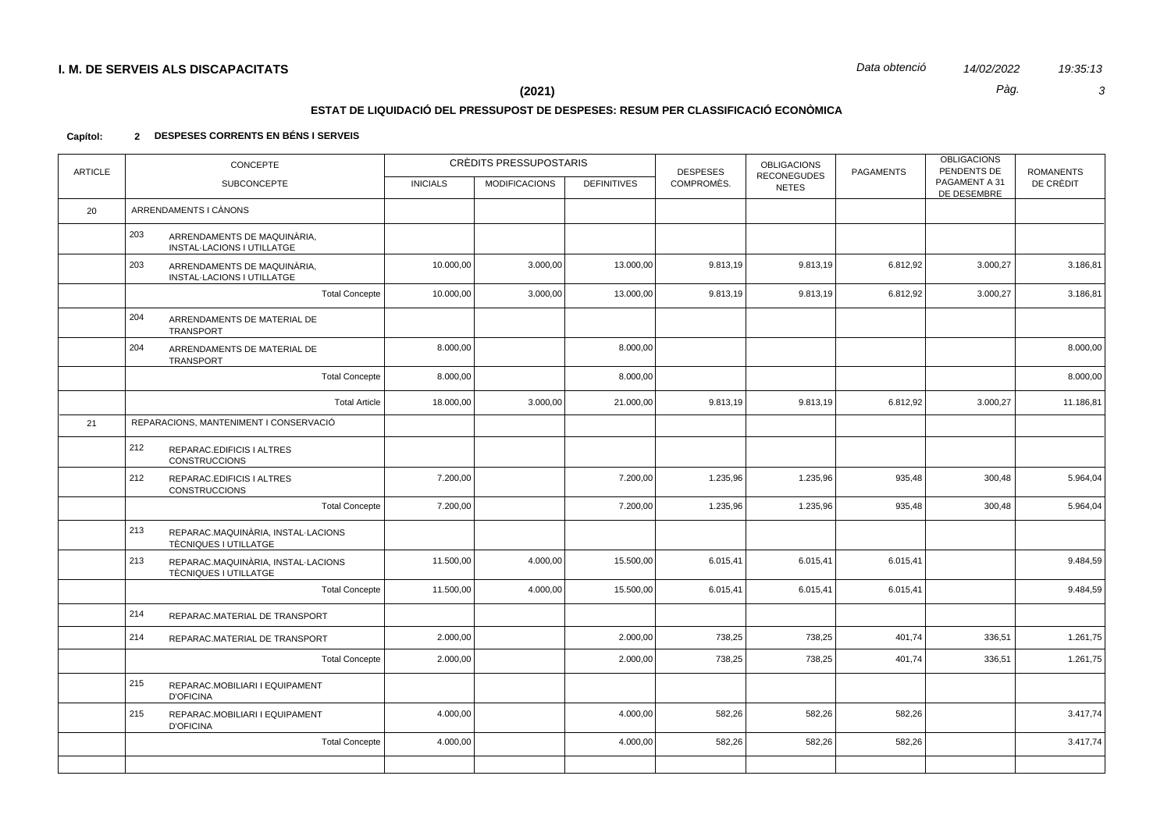$\mathbf{3}$ 

19:35:13

Pàg.

### $(2021)$

# ESTAT DE LIQUIDACIÓ DEL PRESSUPOST DE DESPESES: RESUM PER CLASSIFICACIÓ ECONÒMICA

#### 2 DESPESES CORRENTS EN BÉNS I SERVEIS Capítol:

| <b>ARTICLE</b> | <b>CONCEPTE</b>                                                         |                 | CRÈDITS PRESSUPOSTARIS |                    | <b>DESPESES</b> | <b>OBLIGACIONS</b><br><b>RECONEGUDES</b> | <b>PAGAMENTS</b> | <b>OBLIGACIONS</b><br>PENDENTS DE | <b>ROMANENTS</b> |
|----------------|-------------------------------------------------------------------------|-----------------|------------------------|--------------------|-----------------|------------------------------------------|------------------|-----------------------------------|------------------|
|                | <b>SUBCONCEPTE</b>                                                      | <b>INICIALS</b> | <b>MODIFICACIONS</b>   | <b>DEFINITIVES</b> | COMPROMÈS.      | <b>NETES</b>                             |                  | PAGAMENT A 31<br>DE DESEMBRE      | DE CRÈDIT        |
| 20             | ARRENDAMENTS I CÀNONS                                                   |                 |                        |                    |                 |                                          |                  |                                   |                  |
|                | 203<br>ARRENDAMENTS DE MAQUINÀRIA,<br><b>INSTAL-LACIONS I UTILLATGE</b> |                 |                        |                    |                 |                                          |                  |                                   |                  |
|                | 203<br>ARRENDAMENTS DE MAQUINÀRIA,<br><b>INSTAL-LACIONS I UTILLATGE</b> | 10.000,00       | 3.000,00               | 13.000,00          | 9.813,19        | 9.813,19                                 | 6.812,92         | 3.000,27                          | 3.186,81         |
|                | <b>Total Concepte</b>                                                   | 10.000,00       | 3.000,00               | 13.000,00          | 9.813,19        | 9.813,19                                 | 6.812,92         | 3.000,27                          | 3.186,81         |
|                | 204<br>ARRENDAMENTS DE MATERIAL DE<br><b>TRANSPORT</b>                  |                 |                        |                    |                 |                                          |                  |                                   |                  |
|                | 204<br>ARRENDAMENTS DE MATERIAL DE<br>TRANSPORT                         | 8.000,00        |                        | 8.000,00           |                 |                                          |                  |                                   | 8.000,00         |
|                | <b>Total Concepte</b>                                                   | 8.000,00        |                        | 8.000,00           |                 |                                          |                  |                                   | 8.000,00         |
|                | <b>Total Article</b>                                                    | 18.000,00       | 3.000,00               | 21.000,00          | 9.813,19        | 9.813,19                                 | 6.812,92         | 3.000,27                          | 11.186,81        |
| 21             | REPARACIONS, MANTENIMENT I CONSERVACIÓ                                  |                 |                        |                    |                 |                                          |                  |                                   |                  |
|                | 212<br>REPARAC.EDIFICIS I ALTRES<br><b>CONSTRUCCIONS</b>                |                 |                        |                    |                 |                                          |                  |                                   |                  |
|                | 212<br>REPARAC.EDIFICIS I ALTRES<br><b>CONSTRUCCIONS</b>                | 7.200,00        |                        | 7.200,00           | 1.235,96        | 1.235,96                                 | 935,48           | 300,48                            | 5.964,04         |
|                | <b>Total Concepte</b>                                                   | 7.200,00        |                        | 7.200,00           | 1.235,96        | 1.235,96                                 | 935,48           | 300,48                            | 5.964,04         |
|                | 213<br>REPARAC.MAQUINÀRIA, INSTAL·LACIONS<br>TÈCNIQUES I UTILLATGE      |                 |                        |                    |                 |                                          |                  |                                   |                  |
|                | 213<br>REPARAC.MAQUINÀRIA, INSTAL·LACIONS<br>TÈCNIQUES I UTILLATGE      | 11.500,00       | 4.000,00               | 15.500,00          | 6.015,41        | 6.015,41                                 | 6.015,41         |                                   | 9.484,59         |
|                | <b>Total Concepte</b>                                                   | 11.500,00       | 4.000,00               | 15.500,00          | 6.015,41        | 6.015,41                                 | 6.015,41         |                                   | 9.484,59         |
|                | 214<br>REPARAC.MATERIAL DE TRANSPORT                                    |                 |                        |                    |                 |                                          |                  |                                   |                  |
|                | 214<br>REPARAC.MATERIAL DE TRANSPORT                                    | 2.000,00        |                        | 2.000,00           | 738,25          | 738,25                                   | 401,74           | 336,51                            | 1.261,75         |
|                | <b>Total Concepte</b>                                                   | 2.000,00        |                        | 2.000,00           | 738,25          | 738,25                                   | 401,74           | 336,51                            | 1.261,75         |
|                | 215<br>REPARAC.MOBILIARI I EQUIPAMENT<br><b>D'OFICINA</b>               |                 |                        |                    |                 |                                          |                  |                                   |                  |
|                | 215<br>REPARAC.MOBILIARI I EQUIPAMENT<br><b>D'OFICINA</b>               | 4.000,00        |                        | 4.000,00           | 582,26          | 582,26                                   | 582,26           |                                   | 3.417,74         |
|                | <b>Total Concepte</b>                                                   | 4.000,00        |                        | 4.000,00           | 582,26          | 582,26                                   | 582,26           |                                   | 3.417,74         |
|                |                                                                         |                 |                        |                    |                 |                                          |                  |                                   |                  |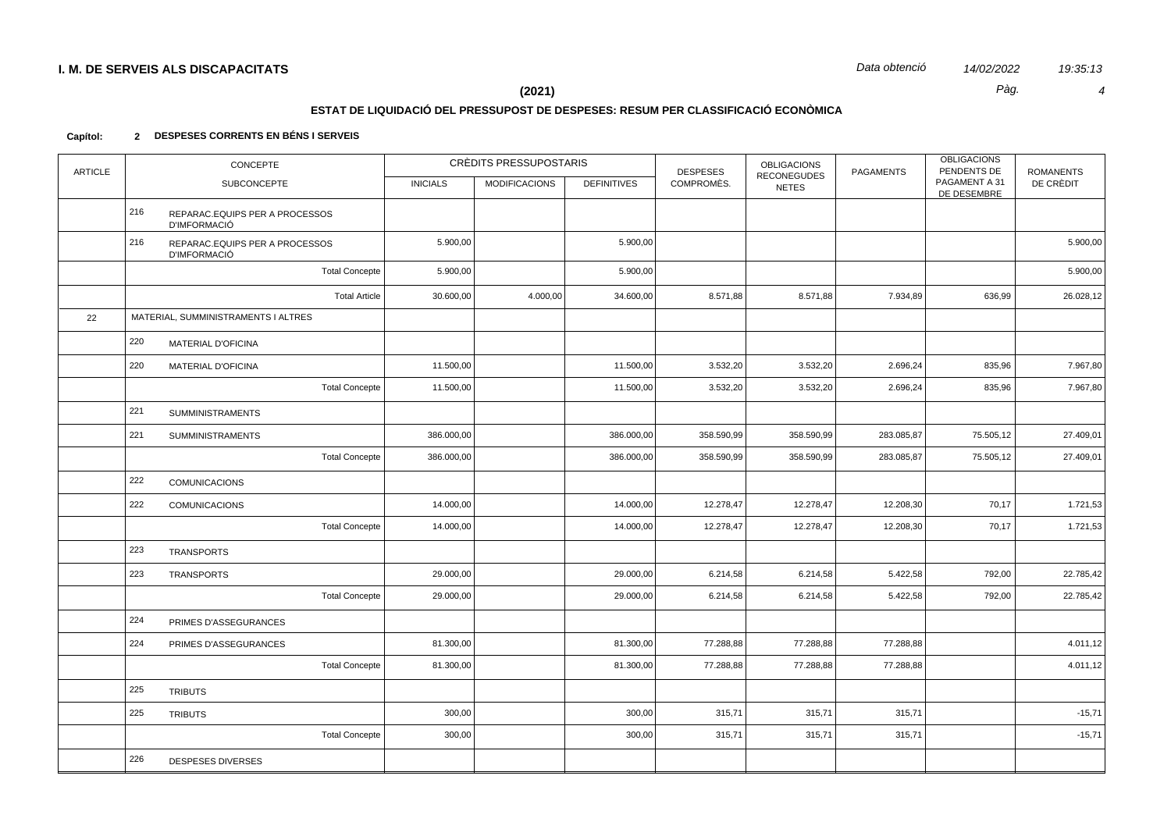19:35:13  $\overline{4}$ 

Pàg.

### $(2021)$

#### ESTAT DE LIQUIDACIÓ DEL PRESSUPOST DE DESPESES: RESUM PER CLASSIFICACIÓ ECONÒMICA

#### 2 DESPESES CORRENTS EN BÉNS I SERVEIS Capítol:

| <b>ARTICLE</b> | CONCEPTE |                                                       |                 | CRÈDITS PRESSUPOSTARIS | <b>DESPESES</b>    |            | <b>OBLIGACIONS</b>                 | <b>OBLIGACIONS</b><br>PENDENTS DE<br><b>PAGAMENTS</b> |                              | <b>ROMANENTS</b> |
|----------------|----------|-------------------------------------------------------|-----------------|------------------------|--------------------|------------|------------------------------------|-------------------------------------------------------|------------------------------|------------------|
|                |          | <b>SUBCONCEPTE</b>                                    | <b>INICIALS</b> | <b>MODIFICACIONS</b>   | <b>DEFINITIVES</b> | COMPROMÈS. | <b>RECONEGUDES</b><br><b>NETES</b> |                                                       | PAGAMENT A 31<br>DE DESEMBRE | DE CRÈDIT        |
|                | 216      | REPARAC.EQUIPS PER A PROCESSOS<br><b>D'IMFORMACIÓ</b> |                 |                        |                    |            |                                    |                                                       |                              |                  |
|                | 216      | REPARAC.EQUIPS PER A PROCESSOS<br><b>D'IMFORMACIÓ</b> | 5.900,00        |                        | 5.900,00           |            |                                    |                                                       |                              | 5.900,00         |
|                |          | <b>Total Concepte</b>                                 | 5.900,00        |                        | 5.900,00           |            |                                    |                                                       |                              | 5.900,00         |
|                |          | <b>Total Article</b>                                  | 30.600,00       | 4.000,00               | 34.600,00          | 8.571,88   | 8.571,88                           | 7.934,89                                              | 636,99                       | 26.028,12        |
| 22             |          | MATERIAL, SUMMINISTRAMENTS I ALTRES                   |                 |                        |                    |            |                                    |                                                       |                              |                  |
|                | 220      | <b>MATERIAL D'OFICINA</b>                             |                 |                        |                    |            |                                    |                                                       |                              |                  |
|                | 220      | <b>MATERIAL D'OFICINA</b>                             | 11.500,00       |                        | 11.500,00          | 3.532,20   | 3.532,20                           | 2.696,24                                              | 835,96                       | 7.967,80         |
|                |          | <b>Total Concepte</b>                                 | 11.500,00       |                        | 11.500,00          | 3.532,20   | 3.532,20                           | 2.696,24                                              | 835,96                       | 7.967,80         |
|                | 221      | <b>SUMMINISTRAMENTS</b>                               |                 |                        |                    |            |                                    |                                                       |                              |                  |
|                | 221      | <b>SUMMINISTRAMENTS</b>                               | 386.000,00      |                        | 386.000,00         | 358.590,99 | 358.590,99                         | 283.085,87                                            | 75.505,12                    | 27.409,01        |
|                |          | <b>Total Concepte</b>                                 | 386.000,00      |                        | 386.000,00         | 358.590,99 | 358.590,99                         | 283.085,87                                            | 75.505,12                    | 27.409,01        |
|                | 222      | <b>COMUNICACIONS</b>                                  |                 |                        |                    |            |                                    |                                                       |                              |                  |
|                | 222      | <b>COMUNICACIONS</b>                                  | 14.000,00       |                        | 14.000,00          | 12.278,47  | 12.278,47                          | 12.208,30                                             | 70,17                        | 1.721,53         |
|                |          | <b>Total Concepte</b>                                 | 14.000,00       |                        | 14.000,00          | 12.278,47  | 12.278,47                          | 12.208,30                                             | 70,17                        | 1.721,53         |
|                | 223      | <b>TRANSPORTS</b>                                     |                 |                        |                    |            |                                    |                                                       |                              |                  |
|                | 223      | <b>TRANSPORTS</b>                                     | 29.000,00       |                        | 29.000,00          | 6.214,58   | 6.214,58                           | 5.422,58                                              | 792,00                       | 22.785,42        |
|                |          | <b>Total Concepte</b>                                 | 29.000,00       |                        | 29.000,00          | 6.214,58   | 6.214,58                           | 5.422,58                                              | 792,00                       | 22.785,42        |
|                | 224      | PRIMES D'ASSEGURANCES                                 |                 |                        |                    |            |                                    |                                                       |                              |                  |
|                | 224      | PRIMES D'ASSEGURANCES                                 | 81.300,00       |                        | 81.300,00          | 77.288,88  | 77.288,88                          | 77.288,88                                             |                              | 4.011,12         |
|                |          | <b>Total Concepte</b>                                 | 81.300,00       |                        | 81.300,00          | 77.288,88  | 77.288,88                          | 77.288,88                                             |                              | 4.011,12         |
|                | 225      | <b>TRIBUTS</b>                                        |                 |                        |                    |            |                                    |                                                       |                              |                  |
|                | 225      | <b>TRIBUTS</b>                                        | 300,00          |                        | 300,00             | 315,71     | 315,71                             | 315,71                                                |                              | $-15,71$         |
|                |          | <b>Total Concepte</b>                                 | 300,00          |                        | 300,00             | 315,71     | 315,71                             | 315,71                                                |                              | $-15,71$         |
|                | 226      | <b>DESPESES DIVERSES</b>                              |                 |                        |                    |            |                                    |                                                       |                              |                  |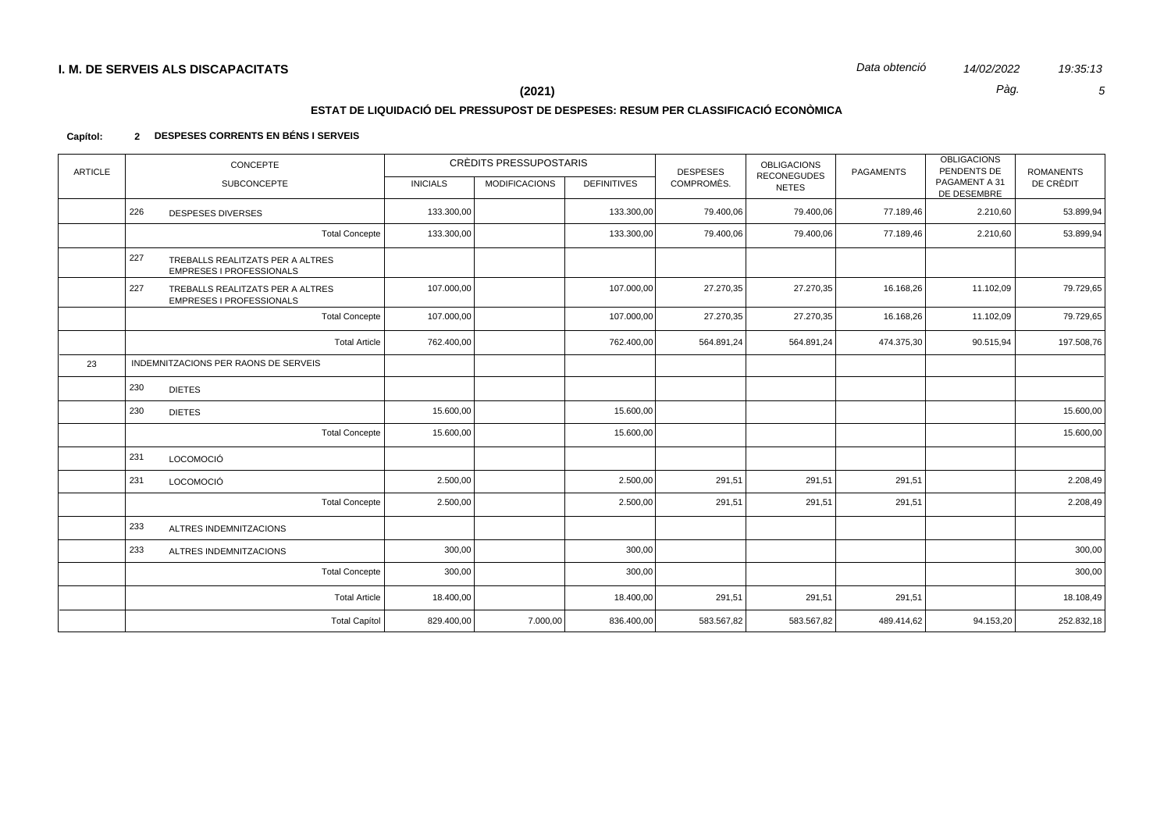$\sqrt{5}$ 

19:35:13

Pàg.

### $(2021)$

# ESTAT DE LIQUIDACIÓ DEL PRESSUPOST DE DESPESES: RESUM PER CLASSIFICACIÓ ECONÒMICA

#### 2 DESPESES CORRENTS EN BÉNS I SERVEIS Capítol:

| <b>ARTICLE</b> | CONCEPTE                                                                   |                 | CRÈDITS PRESSUPOSTARIS |                    | <b>DESPESES</b> |                                    | <b>PAGAMENTS</b> | <b>OBLIGACIONS</b><br>PENDENTS DE<br><b>ROMANENTS</b> |            |
|----------------|----------------------------------------------------------------------------|-----------------|------------------------|--------------------|-----------------|------------------------------------|------------------|-------------------------------------------------------|------------|
|                | <b>SUBCONCEPTE</b>                                                         | <b>INICIALS</b> | <b>MODIFICACIONS</b>   | <b>DEFINITIVES</b> | COMPROMÈS.      | <b>RECONEGUDES</b><br><b>NETES</b> |                  | PAGAMENT A 31<br>DE DESEMBRE                          | DE CRÈDIT  |
|                | 226<br><b>DESPESES DIVERSES</b>                                            | 133.300,00      |                        | 133.300,00         | 79.400,06       | 79.400,06                          | 77.189,46        | 2.210,60                                              | 53.899,94  |
|                | <b>Total Concepte</b>                                                      | 133.300,00      |                        | 133.300,00         | 79.400,06       | 79.400,06                          | 77.189,46        | 2.210,60                                              | 53.899,94  |
|                | 227<br>TREBALLS REALITZATS PER A ALTRES<br><b>EMPRESES I PROFESSIONALS</b> |                 |                        |                    |                 |                                    |                  |                                                       |            |
|                | 227<br>TREBALLS REALITZATS PER A ALTRES<br>EMPRESES I PROFESSIONALS        | 107.000,00      |                        | 107.000,00         | 27.270,35       | 27.270,35                          | 16.168,26        | 11.102,09                                             | 79.729,65  |
|                | <b>Total Concepte</b>                                                      | 107.000,00      |                        | 107.000,00         | 27.270,35       | 27.270,35                          | 16.168,26        | 11.102,09                                             | 79.729,65  |
|                | <b>Total Article</b>                                                       | 762.400,00      |                        | 762.400,00         | 564.891,24      | 564.891,24                         | 474.375,30       | 90.515,94                                             | 197.508,76 |
| 23             | INDEMNITZACIONS PER RAONS DE SERVEIS                                       |                 |                        |                    |                 |                                    |                  |                                                       |            |
|                | 230<br><b>DIETES</b>                                                       |                 |                        |                    |                 |                                    |                  |                                                       |            |
|                | 230<br><b>DIETES</b>                                                       | 15.600,00       |                        | 15.600,00          |                 |                                    |                  |                                                       | 15.600,00  |
|                | <b>Total Concepte</b>                                                      | 15.600,00       |                        | 15.600,00          |                 |                                    |                  |                                                       | 15.600,00  |
|                | 231<br><b>LOCOMOCIÓ</b>                                                    |                 |                        |                    |                 |                                    |                  |                                                       |            |
|                | 231<br><b>LOCOMOCIÓ</b>                                                    | 2.500,00        |                        | 2.500,00           | 291,51          | 291,51                             | 291,51           |                                                       | 2.208,49   |
|                | <b>Total Concepte</b>                                                      | 2.500,00        |                        | 2.500,00           | 291,51          | 291,51                             | 291,51           |                                                       | 2.208,49   |
|                | 233<br>ALTRES INDEMNITZACIONS                                              |                 |                        |                    |                 |                                    |                  |                                                       |            |
|                | 233<br>ALTRES INDEMNITZACIONS                                              | 300,00          |                        | 300,00             |                 |                                    |                  |                                                       | 300,00     |
|                | <b>Total Concepte</b>                                                      | 300,00          |                        | 300,00             |                 |                                    |                  |                                                       | 300,00     |
|                | <b>Total Article</b>                                                       | 18.400,00       |                        | 18.400,00          | 291,51          | 291,51                             | 291,51           |                                                       | 18.108,49  |
|                | <b>Total Capítol</b>                                                       | 829.400,00      | 7.000,00               | 836.400,00         | 583.567,82      | 583.567,82                         | 489.414,62       | 94.153,20                                             | 252.832,18 |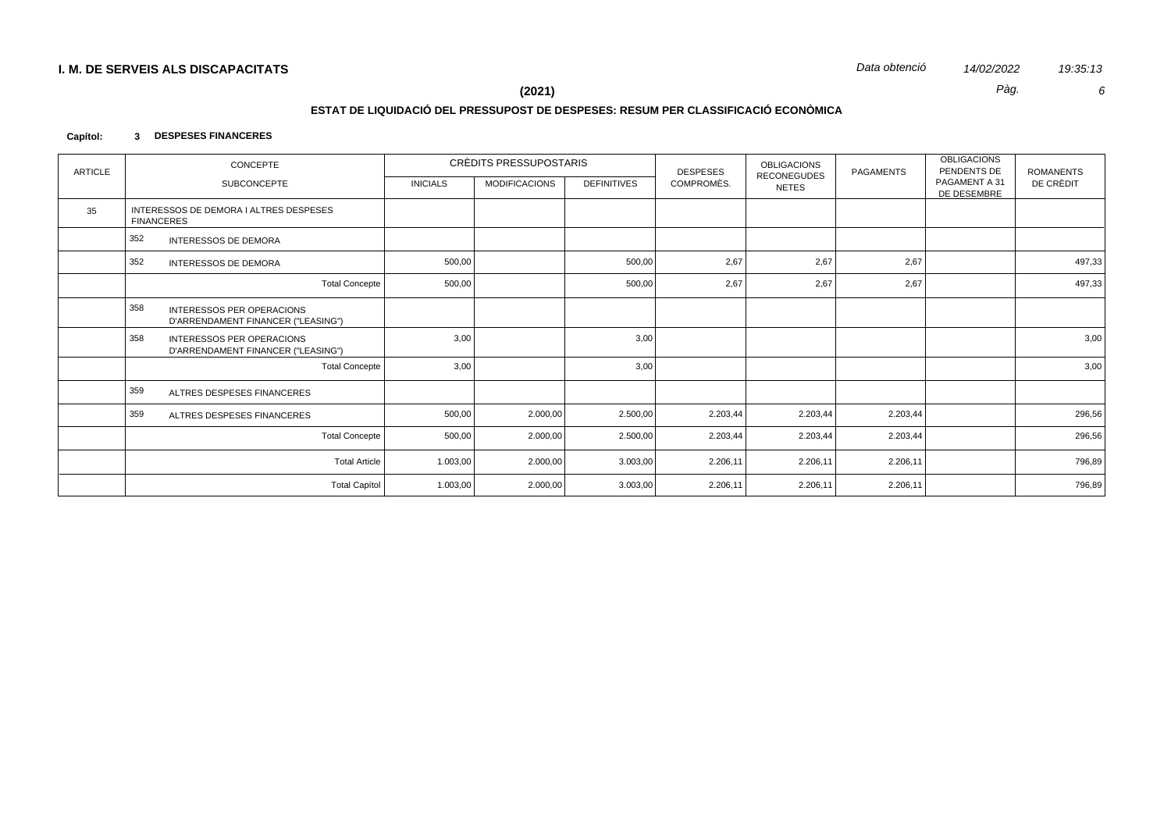Data obtenció 14/02/2022

Pàg.

19:35:13  $\epsilon$ 

 $(2021)$ 

### ESTAT DE LIQUIDACIÓ DEL PRESSUPOST DE DESPESES: RESUM PER CLASSIFICACIÓ ECONÒMICA

#### Capítol: 3 DESPESES FINANCERES

| <b>ARTICLE</b> | <b>CONCEPTE</b>                                                               |                 | CRÈDITS PRESSUPOSTARIS |                    | <b>DESPESES</b> | <b>OBLIGACIONS</b>                 | <b>PAGAMENTS</b> | <b>OBLIGACIONS</b><br>PENDENTS DE | <b>ROMANENTS</b> |
|----------------|-------------------------------------------------------------------------------|-----------------|------------------------|--------------------|-----------------|------------------------------------|------------------|-----------------------------------|------------------|
|                | <b>SUBCONCEPTE</b>                                                            | <b>INICIALS</b> | <b>MODIFICACIONS</b>   | <b>DEFINITIVES</b> | COMPROMÈS.      | <b>RECONEGUDES</b><br><b>NETES</b> |                  | PAGAMENT A 31<br>DE DESEMBRE      | DE CRÈDIT        |
| 35             | INTERESSOS DE DEMORA I ALTRES DESPESES<br><b>FINANCERES</b>                   |                 |                        |                    |                 |                                    |                  |                                   |                  |
|                | 352<br><b>INTERESSOS DE DEMORA</b>                                            |                 |                        |                    |                 |                                    |                  |                                   |                  |
|                | 352<br><b>INTERESSOS DE DEMORA</b>                                            | 500,00          |                        | 500,00             | 2,67            | 2,67                               | 2,67             |                                   | 497,33           |
|                | <b>Total Concepte</b>                                                         | 500,00          |                        | 500,00             | 2,67            | 2,67                               | 2,67             |                                   | 497,33           |
|                | 358<br><b>INTERESSOS PER OPERACIONS</b><br>D'ARRENDAMENT FINANCER ("LEASING") |                 |                        |                    |                 |                                    |                  |                                   |                  |
|                | 358<br><b>INTERESSOS PER OPERACIONS</b><br>D'ARRENDAMENT FINANCER ("LEASING") | 3,00            |                        | 3,00               |                 |                                    |                  |                                   | 3,00             |
|                | <b>Total Concepte</b>                                                         | 3,00            |                        | 3,00               |                 |                                    |                  |                                   | 3,00             |
|                | 359<br>ALTRES DESPESES FINANCERES                                             |                 |                        |                    |                 |                                    |                  |                                   |                  |
|                | 359<br>ALTRES DESPESES FINANCERES                                             | 500,00          | 2.000,00               | 2.500,00           | 2.203,44        | 2.203,44                           | 2.203,44         |                                   | 296,56           |
|                | <b>Total Concepte</b>                                                         | 500,00          | 2.000,00               | 2.500,00           | 2.203,44        | 2.203,44                           | 2.203,44         |                                   | 296,56           |
|                | <b>Total Article</b>                                                          | 1.003,00        | 2.000,00               | 3.003,00           | 2.206,11        | 2.206,11                           | 2.206,11         |                                   | 796,89           |
|                | <b>Total Capítol</b>                                                          | 1.003,00        | 2.000,00               | 3.003,00           | 2.206,11        | 2.206,11                           | 2.206,11         |                                   | 796,89           |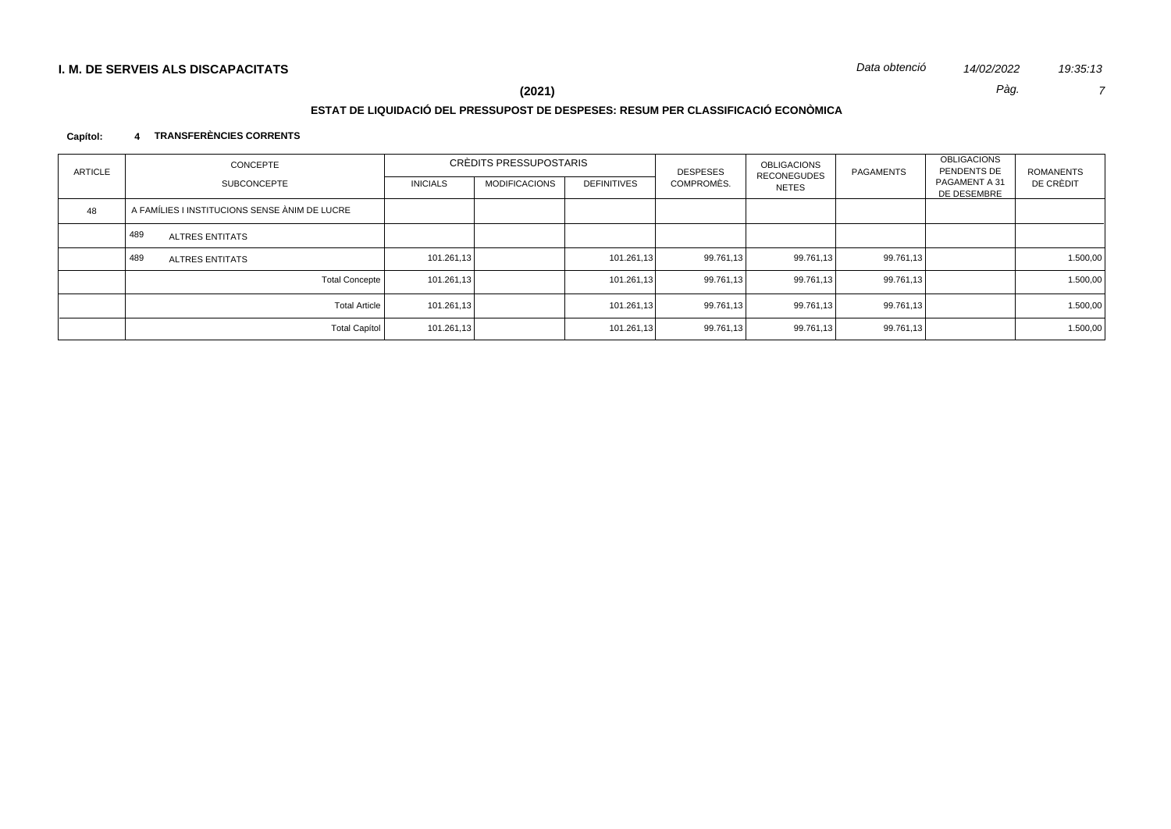# $\overline{7}$

19:35:13

Pàg.

# $(2021)$

# ESTAT DE LIQUIDACIÓ DEL PRESSUPOST DE DESPESES: RESUM PER CLASSIFICACIÓ ECONÒMICA

#### 4 TRANSFERÈNCIES CORRENTS Capítol:

| <b>ARTICLE</b> | <b>CONCEPTE</b>                               | CRÈDITS PRESSUPOSTARIS |                      |                    | <b>DESPESES</b> | <b>OBLIGACIONS</b><br><b>RECONEGUDES</b> | PAGAMENTS | <b>OBLIGACIONS</b><br>PENDENTS DE | ROMANENTS |
|----------------|-----------------------------------------------|------------------------|----------------------|--------------------|-----------------|------------------------------------------|-----------|-----------------------------------|-----------|
|                | <b>SUBCONCEPTE</b>                            | <b>INICIALS</b>        | <b>MODIFICACIONS</b> | <b>DEFINITIVES</b> | COMPROMÈS.      | NETES                                    |           | PAGAMENT A 31<br>DE DESEMBRE      | DE CRÈDIT |
| 48             | A FAMÍLIES I INSTITUCIONS SENSE ÀNIM DE LUCRE |                        |                      |                    |                 |                                          |           |                                   |           |
|                | 489<br><b>ALTRES ENTITATS</b>                 |                        |                      |                    |                 |                                          |           |                                   |           |
|                | 489<br><b>ALTRES ENTITATS</b>                 | 101.261,13             |                      | 101.261,13         | 99.761,13       | 99.761,13                                | 99.761,13 |                                   | 1.500,00  |
|                | <b>Total Concepte</b>                         | 101.261,13             |                      | 101.261,13         | 99.761,13       | 99.761,13                                | 99.761,13 |                                   | 1.500,00  |
|                | <b>Total Article</b>                          | 101.261,13             |                      | 101.261,13         | 99.761,13       | 99.761,13                                | 99.761,13 |                                   | 1.500,00  |
|                | <b>Total Capítol</b>                          | 101.261,13             |                      | 101.261,13         | 99.761,13       | 99.761,13                                | 99.761,13 |                                   | 1.500,00  |